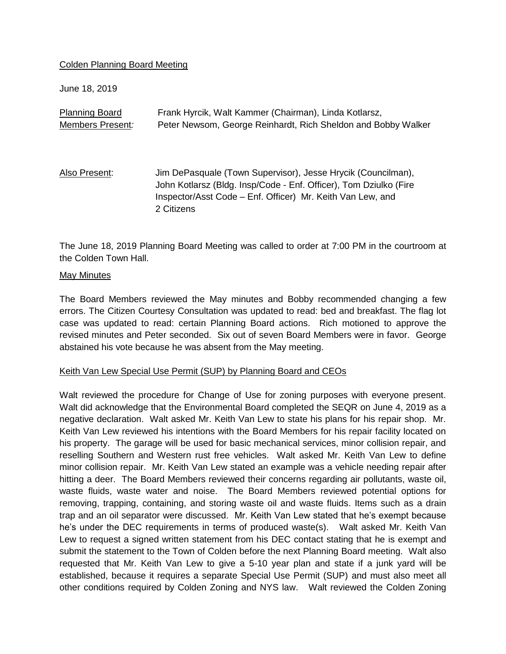# Colden Planning Board Meeting

June 18, 2019

| <b>Planning Board</b> | Frank Hyrcik, Walt Kammer (Chairman), Linda Kotlarsz,                                                                                                                                                         |
|-----------------------|---------------------------------------------------------------------------------------------------------------------------------------------------------------------------------------------------------------|
| Members Present:      | Peter Newsom, George Reinhardt, Rich Sheldon and Bobby Walker                                                                                                                                                 |
| Also Present:         | Jim DePasquale (Town Supervisor), Jesse Hrycik (Councilman),<br>John Kotlarsz (Bldg. Insp/Code - Enf. Officer), Tom Dziulko (Fire<br>Inspector/Asst Code - Enf. Officer) Mr. Keith Van Lew, and<br>2 Citizens |

The June 18, 2019 Planning Board Meeting was called to order at 7:00 PM in the courtroom at the Colden Town Hall.

#### May Minutes

The Board Members reviewed the May minutes and Bobby recommended changing a few errors. The Citizen Courtesy Consultation was updated to read: bed and breakfast. The flag lot case was updated to read: certain Planning Board actions. Rich motioned to approve the revised minutes and Peter seconded. Six out of seven Board Members were in favor. George abstained his vote because he was absent from the May meeting.

# Keith Van Lew Special Use Permit (SUP) by Planning Board and CEOs

Walt reviewed the procedure for Change of Use for zoning purposes with everyone present. Walt did acknowledge that the Environmental Board completed the SEQR on June 4, 2019 as a negative declaration. Walt asked Mr. Keith Van Lew to state his plans for his repair shop. Mr. Keith Van Lew reviewed his intentions with the Board Members for his repair facility located on his property. The garage will be used for basic mechanical services, minor collision repair, and reselling Southern and Western rust free vehicles. Walt asked Mr. Keith Van Lew to define minor collision repair. Mr. Keith Van Lew stated an example was a vehicle needing repair after hitting a deer. The Board Members reviewed their concerns regarding air pollutants, waste oil, waste fluids, waste water and noise. The Board Members reviewed potential options for removing, trapping, containing, and storing waste oil and waste fluids. Items such as a drain trap and an oil separator were discussed. Mr. Keith Van Lew stated that he's exempt because he's under the DEC requirements in terms of produced waste(s). Walt asked Mr. Keith Van Lew to request a signed written statement from his DEC contact stating that he is exempt and submit the statement to the Town of Colden before the next Planning Board meeting. Walt also requested that Mr. Keith Van Lew to give a 5-10 year plan and state if a junk yard will be established, because it requires a separate Special Use Permit (SUP) and must also meet all other conditions required by Colden Zoning and NYS law. Walt reviewed the Colden Zoning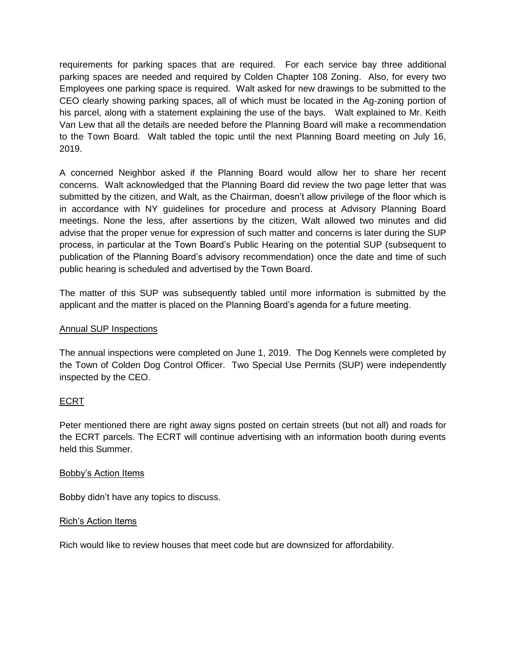requirements for parking spaces that are required. For each service bay three additional parking spaces are needed and required by Colden Chapter 108 Zoning. Also, for every two Employees one parking space is required. Walt asked for new drawings to be submitted to the CEO clearly showing parking spaces, all of which must be located in the Ag-zoning portion of his parcel, along with a statement explaining the use of the bays. Walt explained to Mr. Keith Van Lew that all the details are needed before the Planning Board will make a recommendation to the Town Board. Walt tabled the topic until the next Planning Board meeting on July 16, 2019.

A concerned Neighbor asked if the Planning Board would allow her to share her recent concerns. Walt acknowledged that the Planning Board did review the two page letter that was submitted by the citizen, and Walt, as the Chairman, doesn't allow privilege of the floor which is in accordance with NY guidelines for procedure and process at Advisory Planning Board meetings. None the less, after assertions by the citizen, Walt allowed two minutes and did advise that the proper venue for expression of such matter and concerns is later during the SUP process, in particular at the Town Board's Public Hearing on the potential SUP (subsequent to publication of the Planning Board's advisory recommendation) once the date and time of such public hearing is scheduled and advertised by the Town Board.

The matter of this SUP was subsequently tabled until more information is submitted by the applicant and the matter is placed on the Planning Board's agenda for a future meeting.

# Annual SUP Inspections

The annual inspections were completed on June 1, 2019. The Dog Kennels were completed by the Town of Colden Dog Control Officer. Two Special Use Permits (SUP) were independently inspected by the CEO.

# ECRT

Peter mentioned there are right away signs posted on certain streets (but not all) and roads for the ECRT parcels. The ECRT will continue advertising with an information booth during events held this Summer.

# Bobby's Action Items

Bobby didn't have any topics to discuss.

# Rich's Action Items

Rich would like to review houses that meet code but are downsized for affordability.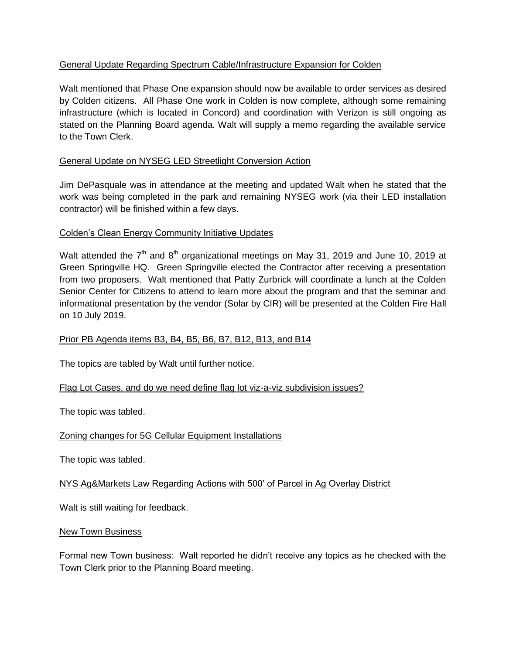# General Update Regarding Spectrum Cable/Infrastructure Expansion for Colden

Walt mentioned that Phase One expansion should now be available to order services as desired by Colden citizens. All Phase One work in Colden is now complete, although some remaining infrastructure (which is located in Concord) and coordination with Verizon is still ongoing as stated on the Planning Board agenda. Walt will supply a memo regarding the available service to the Town Clerk.

# General Update on NYSEG LED Streetlight Conversion Action

Jim DePasquale was in attendance at the meeting and updated Walt when he stated that the work was being completed in the park and remaining NYSEG work (via their LED installation contractor) will be finished within a few days.

# Colden's Clean Energy Community Initiative Updates

Walt attended the  $7<sup>th</sup>$  and  $8<sup>th</sup>$  organizational meetings on May 31, 2019 and June 10, 2019 at Green Springville HQ. Green Springville elected the Contractor after receiving a presentation from two proposers. Walt mentioned that Patty Zurbrick will coordinate a lunch at the Colden Senior Center for Citizens to attend to learn more about the program and that the seminar and informational presentation by the vendor (Solar by CIR) will be presented at the Colden Fire Hall on 10 July 2019.

# Prior PB Agenda items B3, B4, B5, B6, B7, B12, B13, and B14

The topics are tabled by Walt until further notice.

# Flag Lot Cases, and do we need define flag lot viz-a-viz subdivision issues?

The topic was tabled.

# Zoning changes for 5G Cellular Equipment Installations

The topic was tabled.

# NYS Ag&Markets Law Regarding Actions with 500' of Parcel in Ag Overlay District

Walt is still waiting for feedback.

# New Town Business

Formal new Town business: Walt reported he didn't receive any topics as he checked with the Town Clerk prior to the Planning Board meeting.